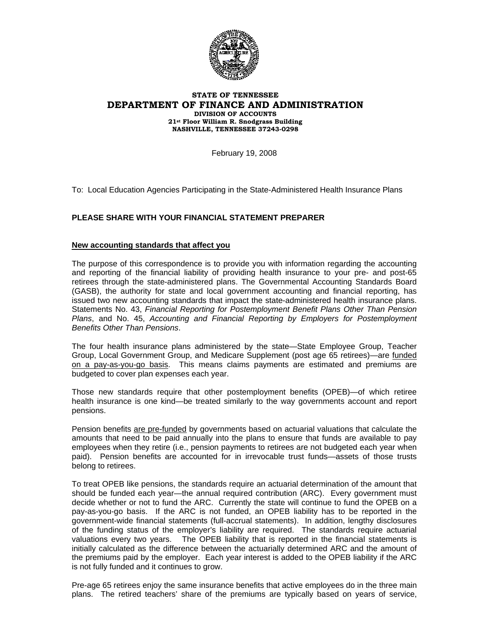

## **STATE OF TENNESSEE DEPARTMENT OF FINANCE AND ADMINISTRATION DIVISION OF ACCOUNTS 21st Floor William R. Snodgrass Building NASHVILLE, TENNESSEE 37243-0298**

February 19, 2008

To: Local Education Agencies Participating in the State-Administered Health Insurance Plans

## **PLEASE SHARE WITH YOUR FINANCIAL STATEMENT PREPARER**

## **New accounting standards that affect you**

The purpose of this correspondence is to provide you with information regarding the accounting and reporting of the financial liability of providing health insurance to your pre- and post-65 retirees through the state-administered plans. The Governmental Accounting Standards Board (GASB), the authority for state and local government accounting and financial reporting, has issued two new accounting standards that impact the state-administered health insurance plans. Statements No. 43, *Financial Reporting for Postemployment Benefit Plans Other Than Pension Plans*, and No. 45, *Accounting and Financial Reporting by Employers for Postemployment Benefits Other Than Pensions*.

The four health insurance plans administered by the state—State Employee Group, Teacher Group, Local Government Group, and Medicare Supplement (post age 65 retirees)—are funded on a pay-as-you-go basis. This means claims payments are estimated and premiums are budgeted to cover plan expenses each year.

Those new standards require that other postemployment benefits (OPEB)—of which retiree health insurance is one kind—be treated similarly to the way governments account and report pensions.

Pension benefits are pre-funded by governments based on actuarial valuations that calculate the amounts that need to be paid annually into the plans to ensure that funds are available to pay employees when they retire (i.e., pension payments to retirees are not budgeted each year when paid). Pension benefits are accounted for in irrevocable trust funds—assets of those trusts belong to retirees.

To treat OPEB like pensions, the standards require an actuarial determination of the amount that should be funded each year—the annual required contribution (ARC). Every government must decide whether or not to fund the ARC. Currently the state will continue to fund the OPEB on a pay-as-you-go basis. If the ARC is not funded, an OPEB liability has to be reported in the government-wide financial statements (full-accrual statements). In addition, lengthy disclosures of the funding status of the employer's liability are required. The standards require actuarial valuations every two years. The OPEB liability that is reported in the financial statements is initially calculated as the difference between the actuarially determined ARC and the amount of the premiums paid by the employer. Each year interest is added to the OPEB liability if the ARC is not fully funded and it continues to grow.

Pre-age 65 retirees enjoy the same insurance benefits that active employees do in the three main plans. The retired teachers' share of the premiums are typically based on years of service,